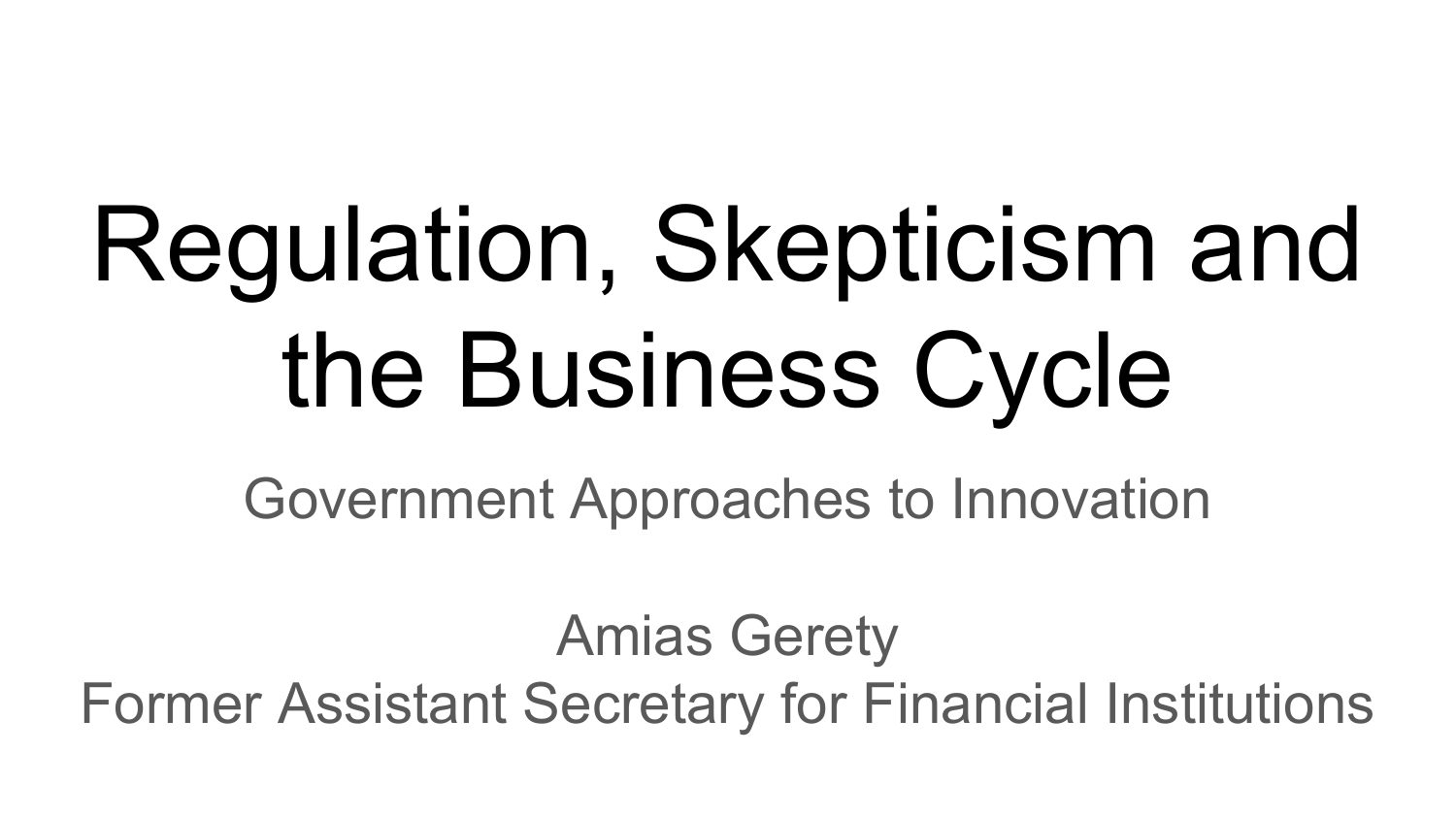# Regulation, Skepticism and the Business Cycle

Government Approaches to Innovation

Amias Gerety Former Assistant Secretary for Financial Institutions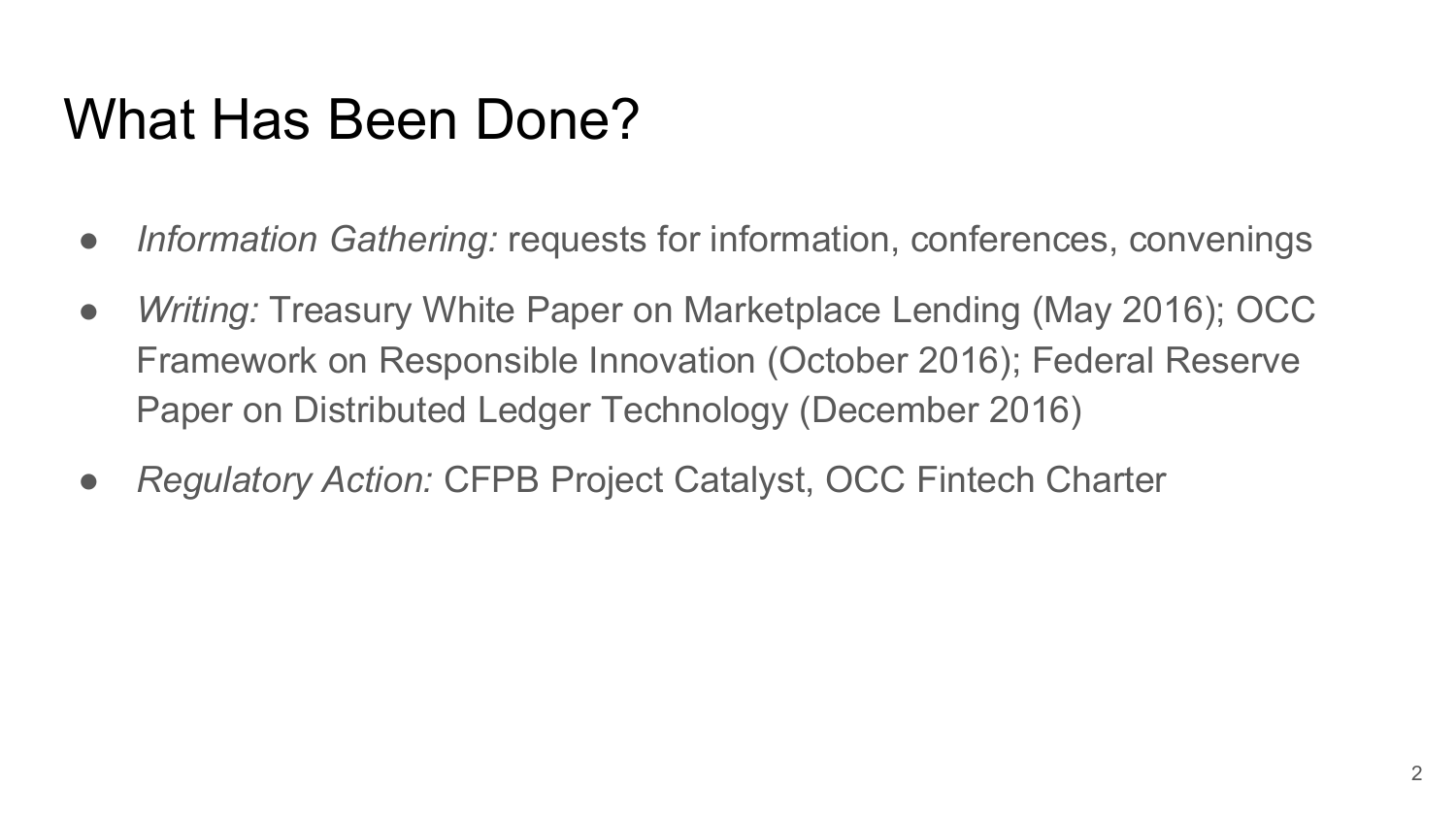## What Has Been Done?

- *Information Gathering:* requests for information, conferences, convenings
- *Writing:* Treasury White Paper on Marketplace Lending (May 2016); OCC Framework on Responsible Innovation (October 2016); Federal Reserve Paper on Distributed Ledger Technology (December 2016)
- *Regulatory Action:* CFPB Project Catalyst, OCC Fintech Charter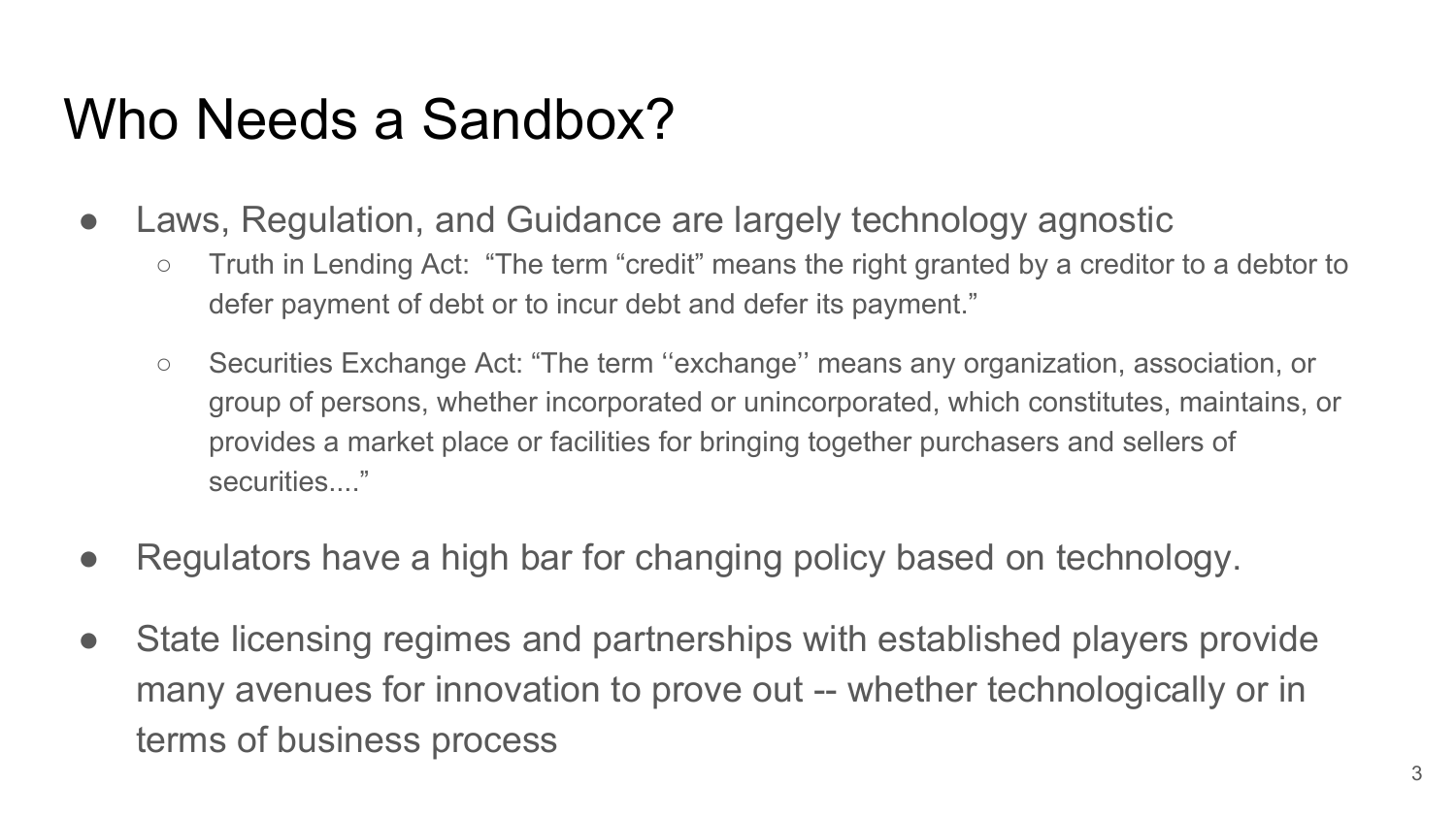### Who Needs a Sandbox?

- Laws, Regulation, and Guidance are largely technology agnostic
	- Truth in Lending Act: "The term "credit" means the right granted by a creditor to a debtor to defer payment of debt or to incur debt and defer its payment."
	- Securities Exchange Act: "The term ''exchange'' means any organization, association, or group of persons, whether incorporated or unincorporated, which constitutes, maintains, or provides a market place or facilities for bringing together purchasers and sellers of securities...."
- Regulators have a high bar for changing policy based on technology.
- State licensing regimes and partnerships with established players provide many avenues for innovation to prove out -- whether technologically or in terms of business process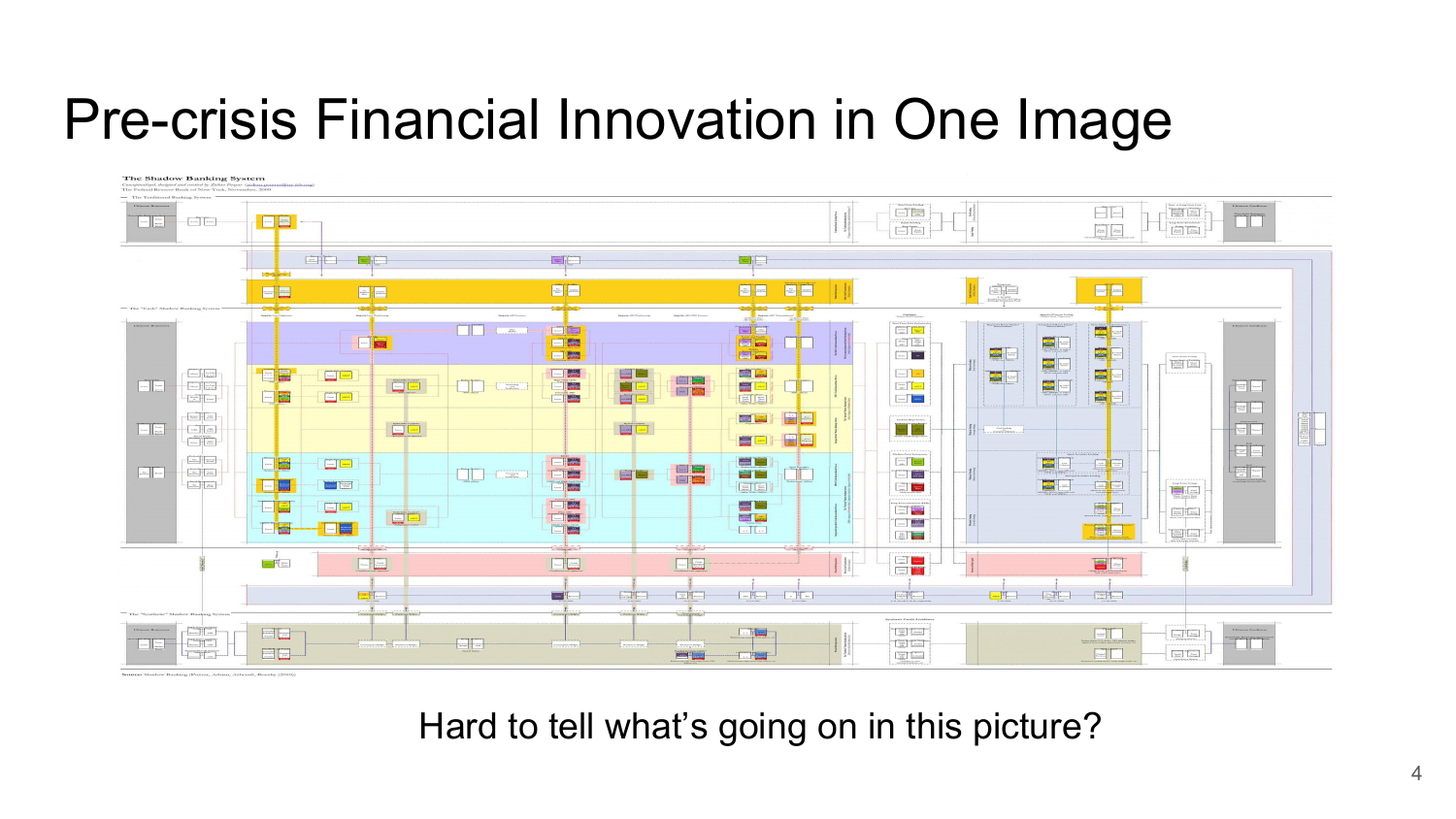#### Pre-crisis Financial Innovation in One Image



Hard to tell what's going on in this picture?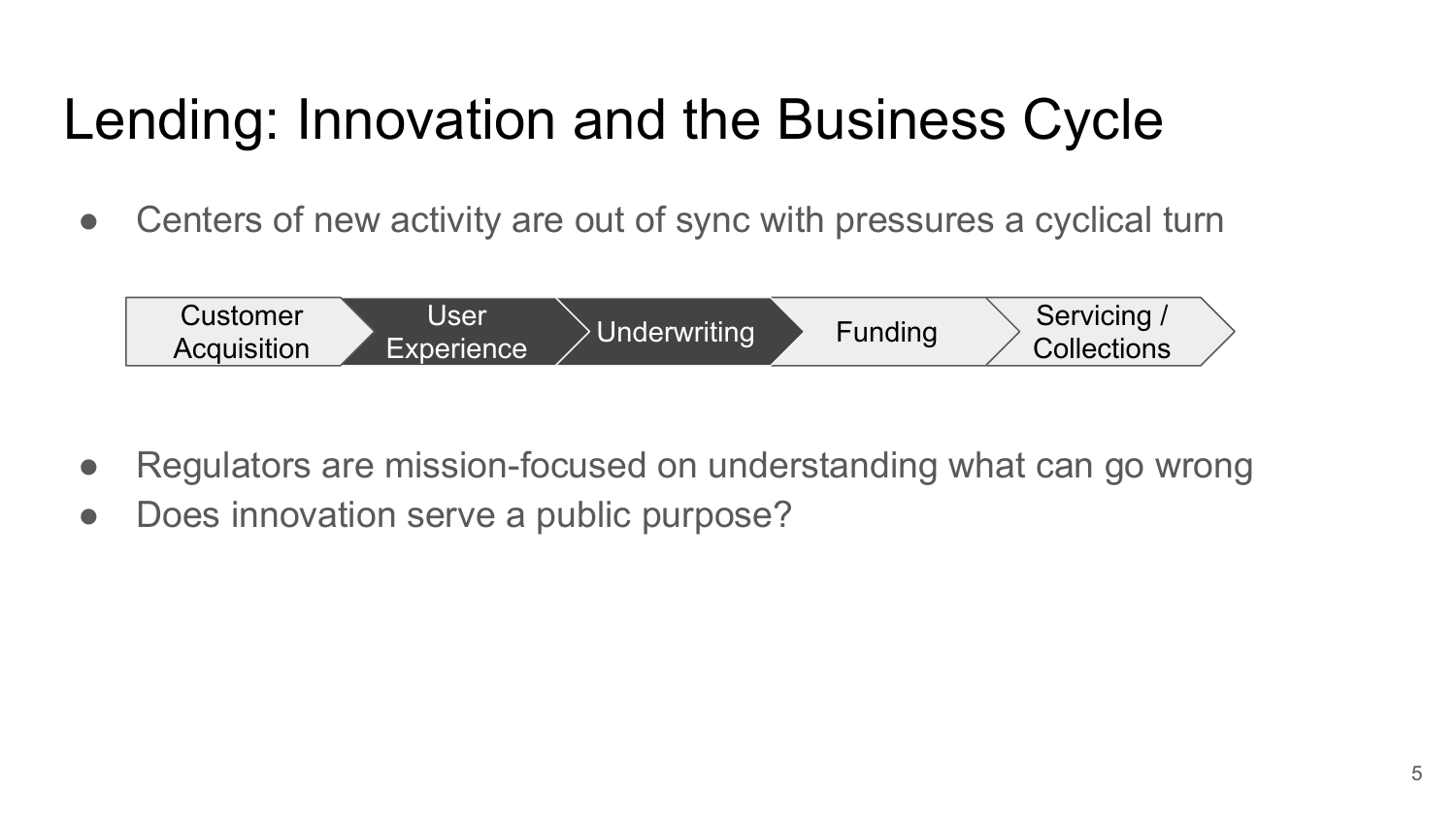# Lending: Innovation and the Business Cycle

• Centers of new activity are out of sync with pressures a cyclical turn



- Regulators are mission-focused on understanding what can go wrong
- Does innovation serve a public purpose?